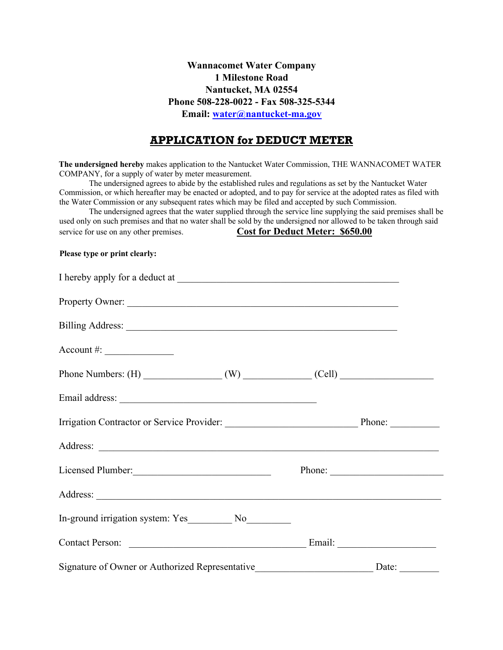**Wannacomet Water Company 1 Milestone Road Nantucket, MA 02554 Phone 508-228-0022 - Fax 508-325-5344 Email: water@nantucket-ma.gov**

## **APPLICATION for DEDUCT METER**

**The undersigned hereby** makes application to the Nantucket Water Commission, THE WANNACOMET WATER COMPANY, for a supply of water by meter measurement.

The undersigned agrees to abide by the established rules and regulations as set by the Nantucket Water Commission, or which hereafter may be enacted or adopted, and to pay for service at the adopted rates as filed with the Water Commission or any subsequent rates which may be filed and accepted by such Commission.

The undersigned agrees that the water supplied through the service line supplying the said premises shall be used only on such premises and that no water shall be sold by the undersigned nor allowed to be taken through said service for use on any other premises. **Cost for Deduct Meter: \$650.00** 

## **Please type or print clearly:**

| $Account #: \_$                                 |       |
|-------------------------------------------------|-------|
|                                                 |       |
|                                                 |       |
|                                                 |       |
|                                                 |       |
| Licensed Plumber:                               |       |
|                                                 |       |
|                                                 |       |
|                                                 |       |
| Signature of Owner or Authorized Representative | Date: |